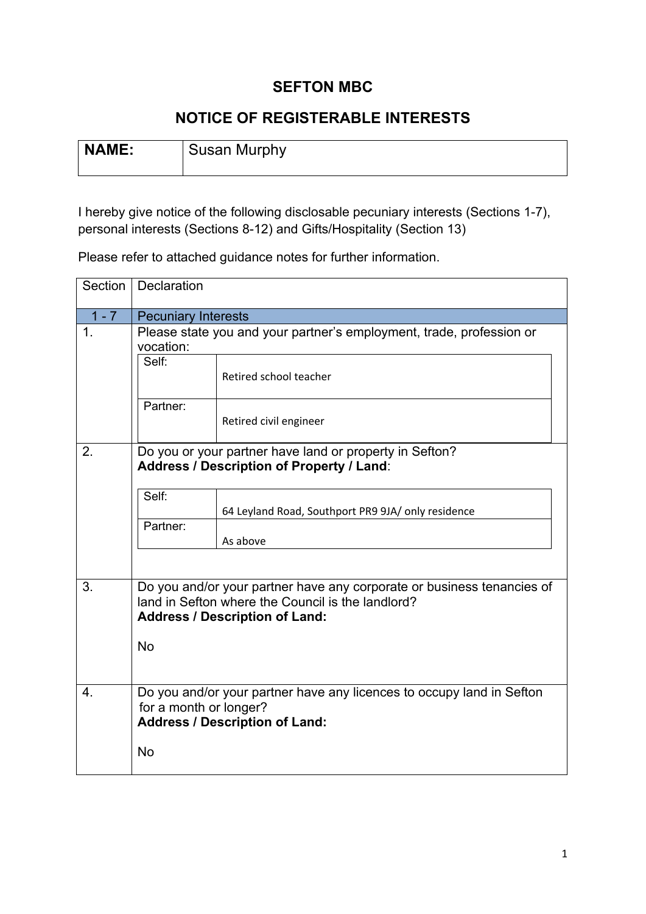## **SEFTON MBC**

## **NOTICE OF REGISTERABLE INTERESTS**

| NAME: | <b>Susan Murphy</b> |
|-------|---------------------|
|       |                     |

I hereby give notice of the following disclosable pecuniary interests (Sections 1-7), personal interests (Sections 8-12) and Gifts/Hospitality (Section 13)

Please refer to attached guidance notes for further information.

| Section | Declaration                                                                                                                                                          |                                                    |  |  |  |  |
|---------|----------------------------------------------------------------------------------------------------------------------------------------------------------------------|----------------------------------------------------|--|--|--|--|
| $1 - 7$ | <b>Pecuniary Interests</b>                                                                                                                                           |                                                    |  |  |  |  |
| 1.      | Please state you and your partner's employment, trade, profession or<br>vocation:                                                                                    |                                                    |  |  |  |  |
|         | Self:                                                                                                                                                                | Retired school teacher                             |  |  |  |  |
|         | Partner:                                                                                                                                                             | Retired civil engineer                             |  |  |  |  |
| 2.      | Do you or your partner have land or property in Sefton?<br><b>Address / Description of Property / Land:</b>                                                          |                                                    |  |  |  |  |
|         | Self:                                                                                                                                                                | 64 Leyland Road, Southport PR9 9JA/ only residence |  |  |  |  |
|         | Partner:                                                                                                                                                             | As above                                           |  |  |  |  |
|         |                                                                                                                                                                      |                                                    |  |  |  |  |
| 3.      | Do you and/or your partner have any corporate or business tenancies of<br>land in Sefton where the Council is the landlord?<br><b>Address / Description of Land:</b> |                                                    |  |  |  |  |
|         | <b>No</b>                                                                                                                                                            |                                                    |  |  |  |  |
| 4.      | Do you and/or your partner have any licences to occupy land in Sefton<br>for a month or longer?<br><b>Address / Description of Land:</b>                             |                                                    |  |  |  |  |
|         | <b>No</b>                                                                                                                                                            |                                                    |  |  |  |  |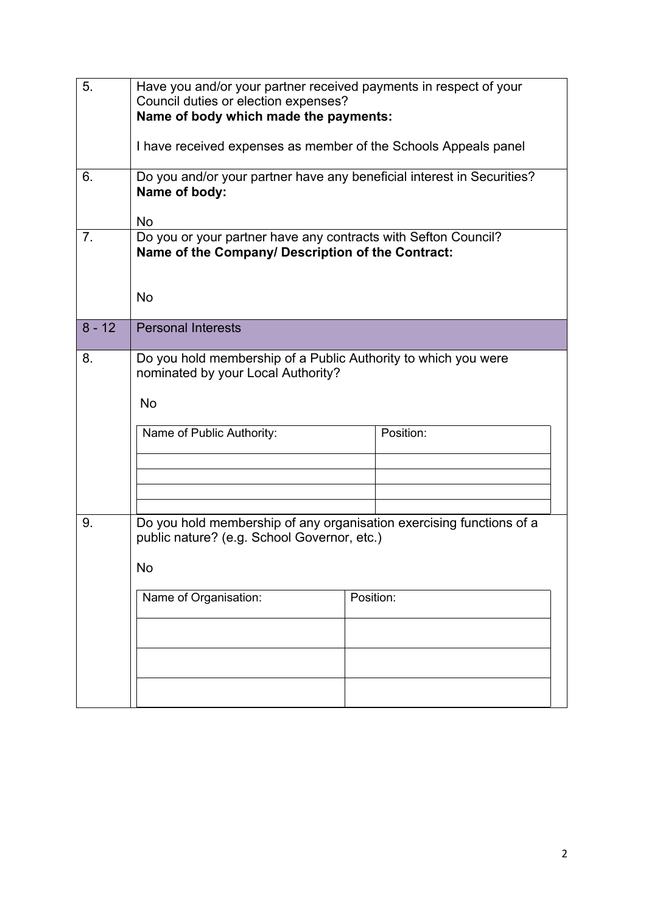| 5.             | Have you and/or your partner received payments in respect of your<br>Council duties or election expenses?<br>Name of body which made the payments: |           |  |  |  |  |  |
|----------------|----------------------------------------------------------------------------------------------------------------------------------------------------|-----------|--|--|--|--|--|
|                | I have received expenses as member of the Schools Appeals panel                                                                                    |           |  |  |  |  |  |
| 6.             | Do you and/or your partner have any beneficial interest in Securities?<br>Name of body:<br><b>No</b>                                               |           |  |  |  |  |  |
| 7 <sub>1</sub> | Do you or your partner have any contracts with Sefton Council?<br>Name of the Company/ Description of the Contract:<br><b>No</b>                   |           |  |  |  |  |  |
| $8 - 12$       | <b>Personal Interests</b>                                                                                                                          |           |  |  |  |  |  |
| 8.             | Do you hold membership of a Public Authority to which you were<br>nominated by your Local Authority?<br>No<br>Name of Public Authority:            | Position: |  |  |  |  |  |
| 9.             | Do you hold membership of any organisation exercising functions of a<br>public nature? (e.g. School Governor, etc.)<br>No                          |           |  |  |  |  |  |
|                | Name of Organisation:                                                                                                                              | Position: |  |  |  |  |  |